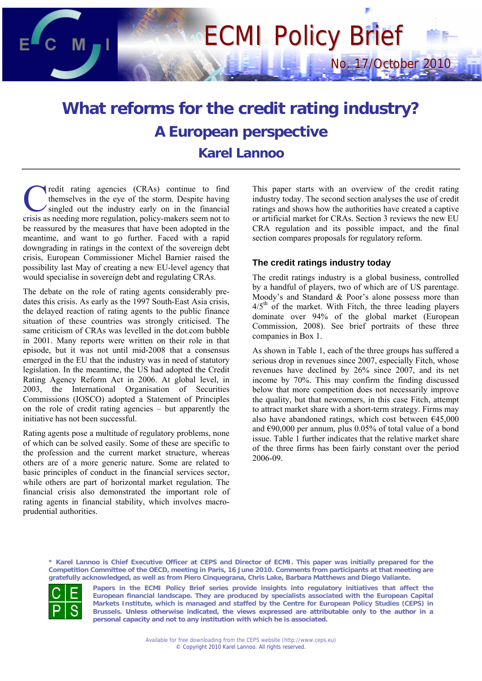# ECMI Policy Brief

## **What reforms for the credit rating industry? A European perspective Karel Lannoo**

redit rating agencies (CRAs) continue to find themselves in the eye of the storm. Despite having singled out the industry early on in the financial crisis as needing agencies (CRAs) continue to find<br>themselves in the eye of the storm. Despite having<br>crisis as needing more regulation, policy-makers seem not to be reassured by the measures that have been adopted in the meantime, and want to go further. Faced with a rapid downgrading in ratings in the context of the sovereign debt crisis, European Commissioner Michel Barnier raised the possibility last May of creating a new EU-level agency that would specialise in sovereign debt and regulating CRAs.

The debate on the role of rating agents considerably predates this crisis. As early as the 1997 South-East Asia crisis, the delayed reaction of rating agents to the public finance situation of these countries was strongly criticised. The same criticism of CRAs was levelled in the dot.com bubble in 2001. Many reports were written on their role in that episode, but it was not until mid-2008 that a consensus emerged in the EU that the industry was in need of statutory legislation. In the meantime, the US had adopted the Credit Rating Agency Reform Act in 2006. At global level, in 2003, the International Organisation of Securities Commissions (IOSCO) adopted a Statement of Principles on the role of credit rating agencies – but apparently the initiative has not been successful.

Rating agents pose a multitude of regulatory problems, none of which can be solved easily. Some of these are specific to the profession and the current market structure, whereas others are of a more generic nature. Some are related to basic principles of conduct in the financial services sector, while others are part of horizontal market regulation. The financial crisis also demonstrated the important role of rating agents in financial stability, which involves macroprudential authorities.

This paper starts with an overview of the credit rating industry today. The second section analyses the use of credit ratings and shows how the authorities have created a captive or artificial market for CRAs. Section 3 reviews the new EU CRA regulation and its possible impact, and the final section compares proposals for regulatory reform.

No. 17/October 2010

#### **The credit ratings industry today**

The credit ratings industry is a global business, controlled by a handful of players, two of which are of US parentage. Moody's and Standard & Poor's alone possess more than  $4/5<sup>th</sup>$  of the market. With Fitch, the three leading players dominate over 94% of the global market (European Commission, 2008). See brief portraits of these three companies in Box 1.

As shown in Table 1, each of the three groups has suffered a serious drop in revenues since 2007, especially Fitch, whose revenues have declined by 26% since 2007, and its net income by 70%. This may confirm the finding discussed below that more competition does not necessarily improve the quality, but that newcomers, in this case Fitch, attempt to attract market share with a short-term strategy. Firms may also have abandoned ratings, which cost between  $E$ 45,000 and €90,000 per annum, plus 0.05% of total value of a bond issue. Table 1 further indicates that the relative market share of the three firms has been fairly constant over the period 2006-09.

**\* Karel Lannoo is Chief Executive Officer at CEPS and Director of ECMI. This paper was initially prepared for the Competition Committee of the OECD, meeting in Paris, 16 June 2010. Comments from participants at that meeting are gratefully acknowledged, as well as from Piero Cinquegrana, Chris Lake, Barbara Matthews and Diego Valiante.** 



**Papers in the ECMI Policy Brief series provide insights into regulatory initiatives that affect the European financial landscape. They are produced by specialists associated with the European Capital Markets Institute, which is managed and staffed by the Centre for European Policy Studies (CEPS) in Brussels. Unless otherwise indicated, the views expressed are attributable only to the author in a personal capacity and not to any institution with which he is associated.**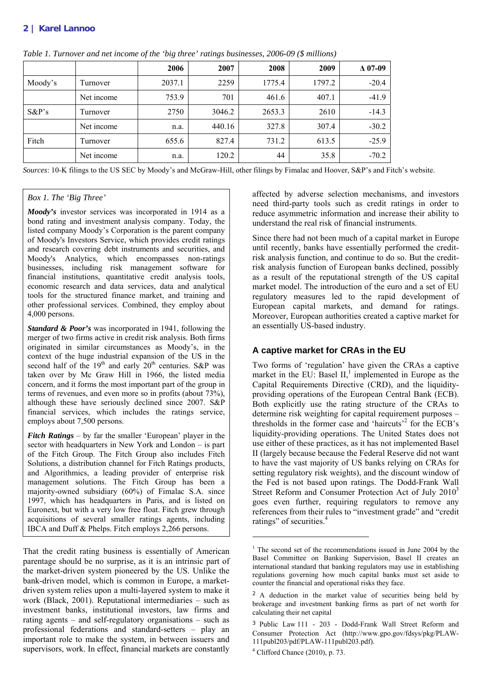#### **2 | Karel Lannoo**

|          |            | 2006   | 2007   | 2008   | 2009   | $\Delta$ 07-09 |
|----------|------------|--------|--------|--------|--------|----------------|
| Moody's  | Turnover   | 2037.1 | 2259   | 1775.4 | 1797.2 | $-20.4$        |
|          | Net income | 753.9  | 701    | 461.6  | 407.1  | $-41.9$        |
| $S\&P's$ | Turnover   | 2750   | 3046.2 | 2653.3 | 2610   | $-14.3$        |
|          | Net income | n.a.   | 440.16 | 327.8  | 307.4  | $-30.2$        |
| Fitch    | Turnover   | 655.6  | 827.4  | 731.2  | 613.5  | $-25.9$        |
|          | Net income | n.a.   | 120.2  | 44     | 35.8   | $-70.2$        |

*Table 1. Turnover and net income of the 'big three' ratings businesses, 2006-09 (\$ millions)* 

*Sources*: 10-K filings to the US SEC by Moody's and McGraw-Hill, other filings by Fimalac and Hoover, S&P's and Fitch's website.

#### *Box 1. The 'Big Three'*

*Moody's* investor services was incorporated in 1914 as a bond rating and investment analysis company. Today, the listed company Moody's Corporation is the parent company of Moody's Investors Service, which provides credit ratings and research covering debt instruments and securities, and Moody's Analytics, which encompasses non-ratings businesses, including risk management software for financial institutions, quantitative credit analysis tools, economic research and data services, data and analytical tools for the structured finance market, and training and other professional services. Combined, they employ about 4,000 persons.

*Standard & Poor's* was incorporated in 1941, following the merger of two firms active in credit risk analysis. Both firms originated in similar circumstances as Moody's, in the context of the huge industrial expansion of the US in the second half of the  $19<sup>th</sup>$  and early  $20<sup>th</sup>$  centuries. S&P was taken over by Mc Graw Hill in 1966, the listed media concern, and it forms the most important part of the group in terms of revenues, and even more so in profits (about 73%), although these have seriously declined since 2007. S&P financial services, which includes the ratings service, employs about 7,500 persons.

*Fitch Ratings* – by far the smaller 'European' player in the sector with headquarters in New York and London – is part of the Fitch Group. The Fitch Group also includes Fitch Solutions, a distribution channel for Fitch Ratings products, and Algorithmics, a leading provider of enterprise risk management solutions. The Fitch Group has been a majority-owned subsidiary (60%) of Fimalac S.A. since 1997, which has headquarters in Paris, and is listed on Euronext, but with a very low free float. Fitch grew through acquisitions of several smaller ratings agents, including IBCA and Duff & Phelps. Fitch employs 2,266 persons.

That the credit rating business is essentially of American parentage should be no surprise, as it is an intrinsic part of the market-driven system pioneered by the US. Unlike the bank-driven model, which is common in Europe, a marketdriven system relies upon a multi-layered system to make it work (Black, 2001). Reputational intermediaries – such as investment banks, institutional investors, law firms and rating agents – and self-regulatory organisations – such as professional federations and standard-setters – play an important role to make the system, in between issuers and supervisors, work. In effect, financial markets are constantly affected by adverse selection mechanisms, and investors need third-party tools such as credit ratings in order to reduce asymmetric information and increase their ability to understand the real risk of financial instruments.

Since there had not been much of a capital market in Europe until recently, banks have essentially performed the creditrisk analysis function, and continue to do so. But the creditrisk analysis function of European banks declined, possibly as a result of the reputational strength of the US capital market model. The introduction of the euro and a set of EU regulatory measures led to the rapid development of European capital markets, and demand for ratings. Moreover, European authorities created a captive market for an essentially US-based industry.

#### **A captive market for CRAs in the EU**

Two forms of 'regulation' have given the CRAs a captive market in the EU: Basel  $II$ ,<sup>1</sup> implemented in Europe as the Capital Requirements Directive (CRD), and the liquidityproviding operations of the European Central Bank (ECB). Both explicitly use the rating structure of the CRAs to determine risk weighting for capital requirement purposes – thresholds in the former case and 'haircuts'2 for the ECB's liquidity-providing operations. The United States does not use either of these practices, as it has not implemented Basel II (largely because because the Federal Reserve did not want to have the vast majority of US banks relying on CRAs for setting regulatory risk weights), and the discount window of the Fed is not based upon ratings. The Dodd-Frank Wall Street Reform and Consumer Protection Act of July 2010<sup>3</sup> goes even further, requiring regulators to remove any references from their rules to "investment grade" and "credit ratings" of securities.<sup>4</sup>

.

<sup>&</sup>lt;sup>1</sup> The second set of the recommendations issued in June 2004 by the Basel Committee on Banking Supervision, Basel II creates an international standard that banking regulators may use in establishing regulations governing how much capital banks must set aside to counter the financial and operational risks they face.

<sup>&</sup>lt;sup>2</sup> A deduction in the market value of securities being held by brokerage and investment banking firms as part of net worth for calculating their net capital

<sup>3</sup> Public Law 111 - 203 - Dodd-Frank Wall Street Reform and Consumer Protection Act (http://www.gpo.gov/fdsys/pkg/PLAW-111publ203/pdf/PLAW-111publ203.pdf).

 $<sup>4</sup>$  Clifford Chance (2010), p. 73.</sup>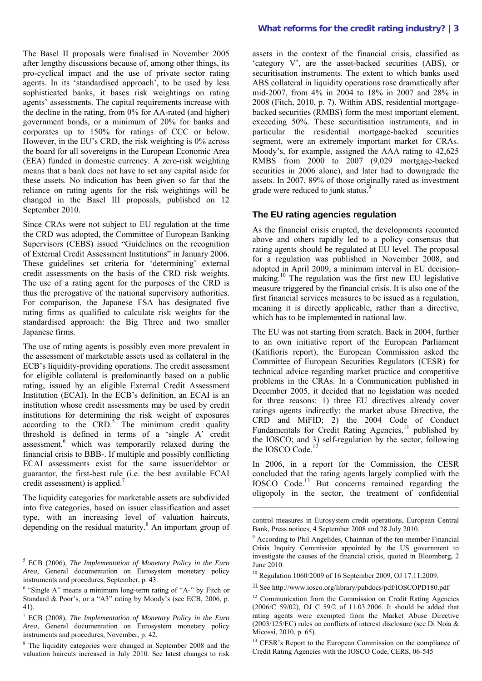The Basel II proposals were finalised in November 2005 after lengthy discussions because of, among other things, its pro-cyclical impact and the use of private sector rating agents. In its 'standardised approach', to be used by less sophisticated banks, it bases risk weightings on rating agents' assessments. The capital requirements increase with the decline in the rating, from 0% for AA-rated (and higher) government bonds, or a minimum of 20% for banks and corporates up to 150% for ratings of CCC or below. However, in the EU's CRD, the risk weighting is 0% across the board for all sovereigns in the European Economic Area (EEA) funded in domestic currency. A zero-risk weighting means that a bank does not have to set any capital aside for these assets. No indication has been given so far that the reliance on rating agents for the risk weightings will be changed in the Basel III proposals, published on 12 September 2010.

Since CRAs were not subject to EU regulation at the time the CRD was adopted, the Committee of European Banking Supervisors (CEBS) issued "Guidelines on the recognition of External Credit Assessment Institutions" in January 2006. These guidelines set criteria for 'determining' external credit assessments on the basis of the CRD risk weights. The use of a rating agent for the purposes of the CRD is thus the prerogative of the national supervisory authorities. For comparison, the Japanese FSA has designated five rating firms as qualified to calculate risk weights for the standardised approach: the Big Three and two smaller Japanese firms.

The use of rating agents is possibly even more prevalent in the assessment of marketable assets used as collateral in the ECB's liquidity-providing operations. The credit assessment for eligible collateral is predominantly based on a public rating, issued by an eligible External Credit Assessment Institution (ECAI). In the ECB's definition, an ECAI is an institution whose credit assessments may be used by credit institutions for determining the risk weight of exposures according to the  $CRD$ <sup>5</sup>. The minimum credit quality threshold is defined in terms of a 'single A' credit assessment,<sup>6</sup> which was temporarily relaxed during the financial crisis to BBB-. If multiple and possibly conflicting ECAI assessments exist for the same issuer/debtor or guarantor, the first-best rule (i.e. the best available ECAI credit assessment) is applied.<sup>7</sup>

The liquidity categories for marketable assets are subdivided into five categories, based on issuer classification and asset type, with an increasing level of valuation haircuts, depending on the residual maturity.<sup>8</sup> An important group of

 $\overline{a}$ 

#### **What reforms for the credit rating industry? |3**

assets in the context of the financial crisis, classified as 'category V', are the asset-backed securities (ABS), or securitisation instruments. The extent to which banks used ABS collateral in liquidity operations rose dramatically after mid-2007, from 4% in 2004 to 18% in 2007 and 28% in 2008 (Fitch, 2010, p. 7). Within ABS, residential mortgagebacked securities (RMBS) form the most important element, exceeding 50%. These securitisation instruments, and in particular the residential mortgage-backed securities segment, were an extremely important market for CRAs. Moody's, for example, assigned the AAA rating to 42,625 RMBS from 2000 to 2007 (9,029 mortgage-backed securities in 2006 alone), and later had to downgrade the assets. In 2007, 89% of those originally rated as investment grade were reduced to junk status.<sup>9</sup>

#### **The EU rating agencies regulation**

As the financial crisis erupted, the developments recounted above and others rapidly led to a policy consensus that rating agents should be regulated at EU level. The proposal for a regulation was published in November 2008, and adopted in April 2009, a minimum interval in EU decisionmaking.10 The regulation was the first new EU legislative measure triggered by the financial crisis. It is also one of the first financial services measures to be issued as a regulation, meaning it is directly applicable, rather than a directive, which has to be implemented in national law.

The EU was not starting from scratch. Back in 2004, further to an own initiative report of the European Parliament (Katifioris report), the European Commission asked the Committee of European Securities Regulators (CESR) for technical advice regarding market practice and competitive problems in the CRAs. In a Communication published in December 2005, it decided that no legislation was needed for three reasons: 1) three EU directives already cover ratings agents indirectly: the market abuse Directive, the CRD and MiFID; 2) the 2004 Code of Conduct Fundamentals for Credit Rating Agencies,<sup>11</sup> published by the IOSCO; and 3) self-regulation by the sector, following the IOSCO Code.<sup>12</sup>

In 2006, in a report for the Commission, the CESR concluded that the rating agents largely complied with the IOSCO Code.13 But concerns remained regarding the oligopoly in the sector, the treatment of confidential

control measures in Eurosystem credit operations, European Central Bank, Press notices, 4 September 2008 and 28 July 2010.

.

11 See http://www.iosco.org/library/pubdocs/pdf/IOSCOPD180.pdf

<sup>5</sup> ECB (2006), *The Implementation of Monetary Policy in the Euro Area*, General documentation on Eurosystem monetary policy instruments and procedures, September, p. 43.

<sup>&</sup>lt;sup>6</sup> "Single A" means a minimum long-term rating of "A-" by Fitch or Standard & Poor's, or a "A3" rating by Moody's (see ECB, 2006, p. 41).

<sup>7</sup> ECB (2008), *The Implementation of Monetary Policy in the Euro Area*, General documentation on Eurosystem monetary policy instruments and procedures, November, p. 42.

<sup>&</sup>lt;sup>8</sup> The liquidity categories were changed in September 2008 and the valuation haircuts increased in July 2010. See latest changes to risk

<sup>&</sup>lt;sup>9</sup> According to Phil Angelides, Chairman of the ten-member Financial Crisis Inquiry Commission appointed by the US government to investigate the causes of the financial crisis, quoted in Bloomberg, 2 June 2010.

<sup>10</sup> Regulation 1060/2009 of 16 September 2009, OJ 17.11.2009.

<sup>&</sup>lt;sup>12</sup> Communication from the Commission on Credit Rating Agencies (2006/C 59/02), OJ C 59/2 of 11.03.2006. It should be added that rating agents were exempted from the Market Abuse Directive (2003/125/EC) rules on conflicts of interest disclosure (see Di Noia & Micossi, 2010, p. 65).

 $13$  CESR's Report to the European Commission on the compliance of Credit Rating Agencies with the IOSCO Code, CERS, 06-545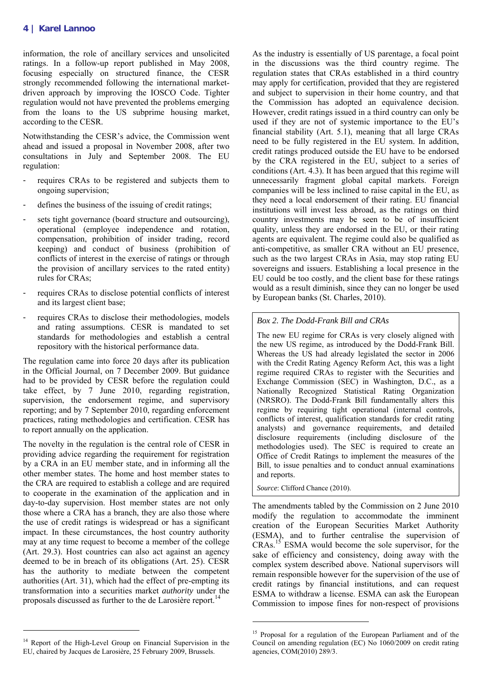information, the role of ancillary services and unsolicited ratings. In a follow-up report published in May 2008, focusing especially on structured finance, the CESR strongly recommended following the international marketdriven approach by improving the IOSCO Code. Tighter regulation would not have prevented the problems emerging from the loans to the US subprime housing market, according to the CESR.

Notwithstanding the CESR's advice, the Commission went ahead and issued a proposal in November 2008, after two consultations in July and September 2008. The EU regulation:

- requires CRAs to be registered and subjects them to ongoing supervision;
- defines the business of the issuing of credit ratings;
- sets tight governance (board structure and outsourcing), operational (employee independence and rotation, compensation, prohibition of insider trading, record keeping) and conduct of business (prohibition of conflicts of interest in the exercise of ratings or through the provision of ancillary services to the rated entity) rules for CRAs;
- requires CRAs to disclose potential conflicts of interest and its largest client base;
- requires CRAs to disclose their methodologies, models and rating assumptions. CESR is mandated to set standards for methodologies and establish a central repository with the historical performance data.

The regulation came into force 20 days after its publication in the Official Journal, on 7 December 2009. But guidance had to be provided by CESR before the regulation could take effect, by 7 June 2010, regarding registration, supervision, the endorsement regime, and supervisory reporting; and by 7 September 2010, regarding enforcement practices, rating methodologies and certification. CESR has to report annually on the application.

The novelty in the regulation is the central role of CESR in providing advice regarding the requirement for registration by a CRA in an EU member state, and in informing all the other member states. The home and host member states to the CRA are required to establish a college and are required to cooperate in the examination of the application and in day-to-day supervision. Host member states are not only those where a CRA has a branch, they are also those where the use of credit ratings is widespread or has a significant impact. In these circumstances, the host country authority may at any time request to become a member of the college (Art. 29.3). Host countries can also act against an agency deemed to be in breach of its obligations (Art. 25). CESR has the authority to mediate between the competent authorities (Art. 31), which had the effect of pre-empting its transformation into a securities market *authority* under the proposals discussed as further to the de Larosière report.<sup>14</sup>

<sup>14</sup> Report of the High-Level Group on Financial Supervision in the EU, chaired by Jacques de Larosière, 25 February 2009, Brussels.

 $\overline{a}$ 

As the industry is essentially of US parentage, a focal point in the discussions was the third country regime. The regulation states that CRAs established in a third country may apply for certification, provided that they are registered and subject to supervision in their home country, and that the Commission has adopted an equivalence decision. However, credit ratings issued in a third country can only be used if they are not of systemic importance to the EU's financial stability (Art. 5.1), meaning that all large CRAs need to be fully registered in the EU system. In addition, credit ratings produced outside the EU have to be endorsed by the CRA registered in the EU, subject to a series of conditions (Art. 4.3). It has been argued that this regime will unnecessarily fragment global capital markets. Foreign companies will be less inclined to raise capital in the EU, as they need a local endorsement of their rating. EU financial institutions will invest less abroad, as the ratings on third country investments may be seen to be of insufficient quality, unless they are endorsed in the EU, or their rating agents are equivalent. The regime could also be qualified as anti-competitive, as smaller CRA without an EU presence, such as the two largest CRAs in Asia, may stop rating EU sovereigns and issuers. Establishing a local presence in the EU could be too costly, and the client base for these ratings would as a result diminish, since they can no longer be used by European banks (St. Charles, 2010).

*Box 2. The Dodd-Frank Bill and CRAs* 

The new EU regime for CRAs is very closely aligned with the new US regime, as introduced by the Dodd-Frank Bill. Whereas the US had already legislated the sector in 2006 with the Credit Rating Agency Reform Act, this was a light regime required CRAs to register with the Securities and Exchange Commission (SEC) in Washington, D.C., as a Nationally Recognized Statistical Rating Organization (NRSRO). The Dodd-Frank Bill fundamentally alters this regime by requiring tight operational (internal controls, conflicts of interest, qualification standards for credit rating analysts) and governance requirements, and detailed disclosure requirements (including disclosure of the methodologies used). The SEC is required to create an Office of Credit Ratings to implement the measures of the Bill, to issue penalties and to conduct annual examinations and reports.

*Source*: Clifford Chance (2010).

.

The amendments tabled by the Commission on 2 June 2010 modify the regulation to accommodate the imminent creation of the European Securities Market Authority (ESMA), and to further centralise the supervision of  $CRAs.<sup>15</sup>$  ESMA would become the sole supervisor, for the sake of efficiency and consistency, doing away with the complex system described above. National supervisors will remain responsible however for the supervision of the use of credit ratings by financial institutions, and can request ESMA to withdraw a license. ESMA can ask the European Commission to impose fines for non-respect of provisions

<sup>&</sup>lt;sup>15</sup> Proposal for a regulation of the European Parliament and of the Council on amending regulation (EC) No 1060/2009 on credit rating agencies, COM(2010) 289/3.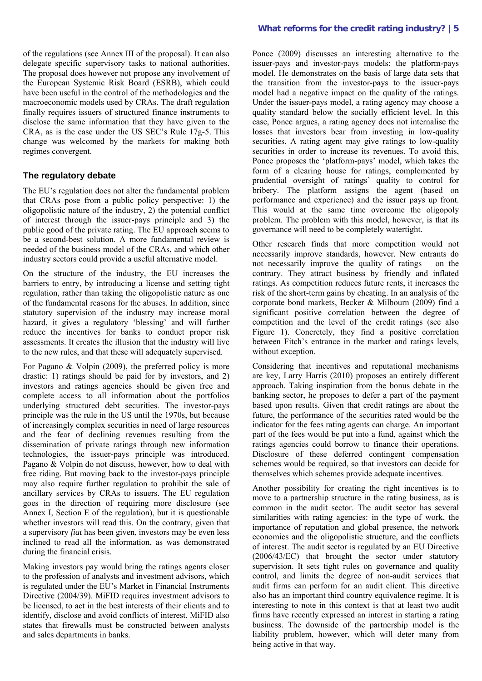of the regulations (see Annex III of the proposal). It can also delegate specific supervisory tasks to national authorities. The proposal does however not propose any involvement of the European Systemic Risk Board (ESRB), which could have been useful in the control of the methodologies and the macroeconomic models used by CRAs. The draft regulation finally requires issuers of structured finance in**s**truments to disclose the same information that they have given to the CRA, as is the case under the US SEC's Rule 17g-5. This change was welcomed by the markets for making both regimes convergent.

#### **The regulatory debate**

The EU's regulation does not alter the fundamental problem that CRAs pose from a public policy perspective: 1) the oligopolistic nature of the industry, 2) the potential conflict of interest through the issuer-pays principle and 3) the public good of the private rating. The EU approach seems to be a second-best solution. A more fundamental review is needed of the business model of the CRAs, and which other industry sectors could provide a useful alternative model.

On the structure of the industry, the EU increases the barriers to entry, by introducing a license and setting tight regulation, rather than taking the oligopolistic nature as one of the fundamental reasons for the abuses. In addition, since statutory supervision of the industry may increase moral hazard, it gives a regulatory 'blessing' and will further reduce the incentives for banks to conduct proper risk assessments. It creates the illusion that the industry will live to the new rules, and that these will adequately supervised.

For Pagano & Volpin (2009), the preferred policy is more drastic: 1) ratings should be paid for by investors, and 2) investors and ratings agencies should be given free and complete access to all information about the portfolios underlying structured debt securities. The investor-pays principle was the rule in the US until the 1970s, but because of increasingly complex securities in need of large resources and the fear of declining revenues resulting from the dissemination of private ratings through new information technologies, the issuer-pays principle was introduced. Pagano & Volpin do not discuss, however, how to deal with free riding. But moving back to the investor-pays principle may also require further regulation to prohibit the sale of ancillary services by CRAs to issuers. The EU regulation goes in the direction of requiring more disclosure (see Annex I, Section E of the regulation), but it is questionable whether investors will read this. On the contrary, given that a supervisory *fiat* has been given, investors may be even less inclined to read all the information, as was demonstrated during the financial crisis.

Making investors pay would bring the ratings agents closer to the profession of analysts and investment advisors, which is regulated under the EU's Market in Financial Instruments Directive (2004/39). MiFID requires investment advisors to be licensed, to act in the best interests of their clients and to identify, disclose and avoid conflicts of interest. MiFID also states that firewalls must be constructed between analysts and sales departments in banks.

Ponce (2009) discusses an interesting alternative to the issuer-pays and investor-pays models: the platform-pays model. He demonstrates on the basis of large data sets that the transition from the investor-pays to the issuer-pays model had a negative impact on the quality of the ratings. Under the issuer-pays model, a rating agency may choose a quality standard below the socially efficient level. In this case, Ponce argues, a rating agency does not internalise the losses that investors bear from investing in low-quality securities. A rating agent may give ratings to low-quality securities in order to increase its revenues. To avoid this, Ponce proposes the 'platform-pays' model, which takes the form of a clearing house for ratings, complemented by prudential oversight of ratings' quality to control for bribery. The platform assigns the agent (based on performance and experience) and the issuer pays up front. This would at the same time overcome the oligopoly problem. The problem with this model, however, is that its governance will need to be completely watertight.

Other research finds that more competition would not necessarily improve standards, however. New entrants do not necessarily improve the quality of ratings – on the contrary. They attract business by friendly and inflated ratings. As competition reduces future rents, it increases the risk of the short-term gains by cheating. In an analysis of the corporate bond markets, Becker & Milbourn (2009) find a significant positive correlation between the degree of competition and the level of the credit ratings (see also Figure 1). Concretely, they find a positive correlation between Fitch's entrance in the market and ratings levels, without exception.

Considering that incentives and reputational mechanisms are key, Larry Harris (2010) proposes an entirely different approach. Taking inspiration from the bonus debate in the banking sector, he proposes to defer a part of the payment based upon results. Given that credit ratings are about the future, the performance of the securities rated would be the indicator for the fees rating agents can charge. An important part of the fees would be put into a fund, against which the ratings agencies could borrow to finance their operations. Disclosure of these deferred contingent compensation schemes would be required, so that investors can decide for themselves which schemes provide adequate incentives.

Another possibility for creating the right incentives is to move to a partnership structure in the rating business, as is common in the audit sector. The audit sector has several similarities with rating agencies: in the type of work, the importance of reputation and global presence, the network economies and the oligopolistic structure, and the conflicts of interest. The audit sector is regulated by an EU Directive (2006/43/EC) that brought the sector under statutory supervision. It sets tight rules on governance and quality control, and limits the degree of non-audit services that audit firms can perform for an audit client. This directive also has an important third country equivalence regime. It is interesting to note in this context is that at least two audit firms have recently expressed an interest in starting a rating business. The downside of the partnership model is the liability problem, however, which will deter many from being active in that way.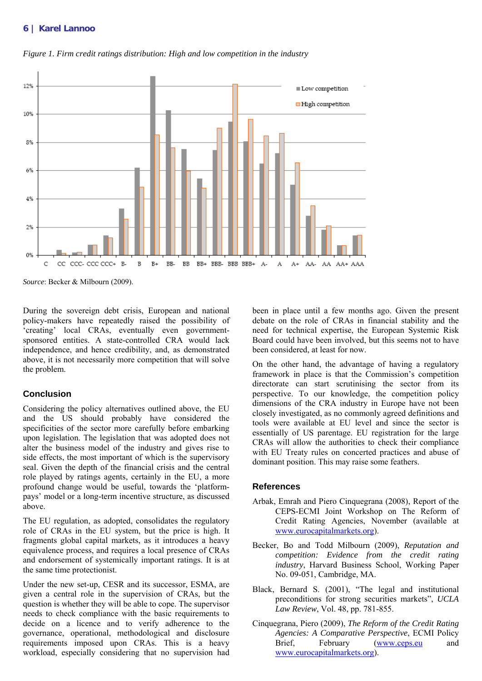#### **6 | Karel Lannoo**



*Figure 1. Firm credit ratings distribution: High and low competition in the industry* 

During the sovereign debt crisis, European and national policy-makers have repeatedly raised the possibility of 'creating' local CRAs, eventually even governmentsponsored entities. A state-controlled CRA would lack independence, and hence credibility, and, as demonstrated above, it is not necessarily more competition that will solve the problem.

#### **Conclusion**

Considering the policy alternatives outlined above, the EU and the US should probably have considered the specificities of the sector more carefully before embarking upon legislation. The legislation that was adopted does not alter the business model of the industry and gives rise to side effects, the most important of which is the supervisory seal. Given the depth of the financial crisis and the central role played by ratings agents, certainly in the EU, a more profound change would be useful, towards the 'platformpays' model or a long-term incentive structure, as discussed above.

The EU regulation, as adopted, consolidates the regulatory role of CRAs in the EU system, but the price is high. It fragments global capital markets, as it introduces a heavy equivalence process, and requires a local presence of CRAs and endorsement of systemically important ratings. It is at the same time protectionist.

Under the new set-up, CESR and its successor, ESMA, are given a central role in the supervision of CRAs, but the question is whether they will be able to cope. The supervisor needs to check compliance with the basic requirements to decide on a licence and to verify adherence to the governance, operational, methodological and disclosure requirements imposed upon CRAs. This is a heavy workload, especially considering that no supervision had been in place until a few months ago. Given the present debate on the role of CRAs in financial stability and the need for technical expertise, the European Systemic Risk Board could have been involved, but this seems not to have been considered, at least for now.

On the other hand, the advantage of having a regulatory framework in place is that the Commission's competition directorate can start scrutinising the sector from its perspective. To our knowledge, the competition policy dimensions of the CRA industry in Europe have not been closely investigated, as no commonly agreed definitions and tools were available at EU level and since the sector is essentially of US parentage. EU registration for the large CRAs will allow the authorities to check their compliance with EU Treaty rules on concerted practices and abuse of dominant position. This may raise some feathers.

#### **References**

- Arbak, Emrah and Piero Cinquegrana (2008), Report of the CEPS-ECMI Joint Workshop on The Reform of Credit Rating Agencies, November (available at www.eurocapitalmarkets.org).
- Becker, Bo and Todd Milbourn (2009), *Reputation and competition: Evidence from the credit rating industry*, Harvard Business School, Working Paper No. 09-051, Cambridge, MA.
- Black, Bernard S. (2001), "The legal and institutional preconditions for strong securities markets", *UCLA Law Review*, Vol. 48, pp. 781-855.
- Cinquegrana, Piero (2009), *The Reform of the Credit Rating Agencies: A Comparative Perspective*, ECMI Policy Brief, February (www.ceps.eu and www.eurocapitalmarkets.org).

*Source*: Becker & Milbourn (2009).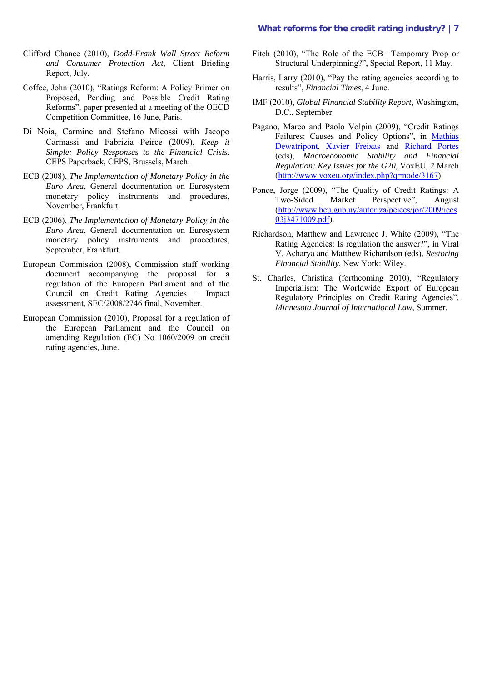#### **What reforms for the credit rating industry? |7**

- Clifford Chance (2010), *Dodd-Frank Wall Street Reform and Consumer Protection Act*, Client Briefing Report, July.
- Coffee, John (2010), "Ratings Reform: A Policy Primer on Proposed, Pending and Possible Credit Rating Reforms", paper presented at a meeting of the OECD Competition Committee, 16 June, Paris.
- Di Noia, Carmine and Stefano Micossi with Jacopo Carmassi and Fabrizia Peirce (2009), *Keep it Simple: Policy Responses to the Financial Crisis*, CEPS Paperback, CEPS, Brussels, March.
- ECB (2008), *The Implementation of Monetary Policy in the Euro Area*, General documentation on Eurosystem monetary policy instruments and procedures, November, Frankfurt.
- ECB (2006), *The Implementation of Monetary Policy in the Euro Area*, General documentation on Eurosystem monetary policy instruments and procedures, September, Frankfurt.
- European Commission (2008), Commission staff working document accompanying the proposal for a regulation of the European Parliament and of the Council on Credit Rating Agencies – Impact assessment, SEC/2008/2746 final, November.
- European Commission (2010), Proposal for a regulation of the European Parliament and the Council on amending Regulation (EC) No 1060/2009 on credit rating agencies, June.
- Fitch (2010), "The Role of the ECB –Temporary Prop or Structural Underpinning?", Special Report, 11 May.
- Harris, Larry (2010), "Pay the rating agencies according to results", *Financial Times*, 4 June.
- IMF (2010), *Global Financial Stability Report*, Washington, D.C., September
- Pagano, Marco and Paolo Volpin (2009), "Credit Ratings Failures: Causes and Policy Options", in Mathias Dewatripont, Xavier Freixas and Richard Portes (eds), *Macroeconomic Stability and Financial Regulation: Key Issues for the G20,* VoxEU, 2 March (http://www.voxeu.org/index.php?q=node/3167).
- Ponce, Jorge (2009), "The Quality of Credit Ratings: A Two-Sided Market Perspective", August (http://www.bcu.gub.uy/autoriza/peiees/jor/2009/iees 03j3471009.pdf).
- Richardson, Matthew and Lawrence J. White (2009), "The Rating Agencies: Is regulation the answer?", in Viral V. Acharya and Matthew Richardson (eds), *Restoring Financial Stability*, New York: Wiley.
- St. Charles, Christina (forthcoming 2010), "Regulatory Imperialism: The Worldwide Export of European Regulatory Principles on Credit Rating Agencies", *Minnesota Journal of International Law*, Summer.